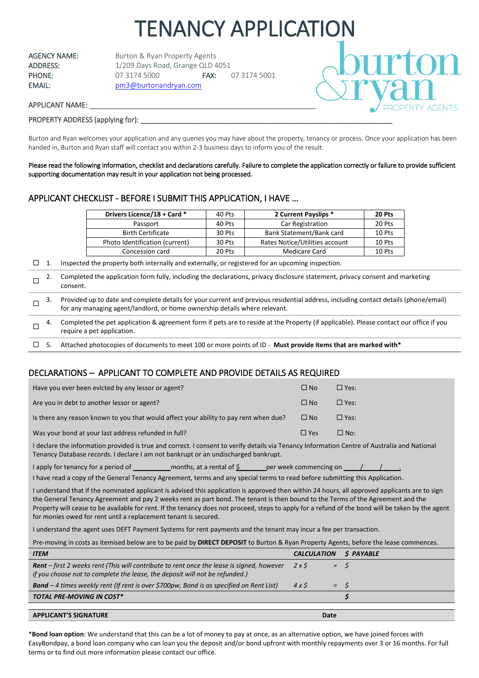# TENANCY APPLICATION

AGENCY NAME: Burton & Ryan Property Agents ADDRESS: 1/209 Days Road, Grange QLD 4051 PHONE: 07 3174 5000 FAX: 07 3174 5001 EMAIL: [pm3@burtonandryan.com](mailto:pm3@burtonandryan.com)



## APPLICANT NAME:

## PROPERTY ADDRESS (applying for):

Burton and Ryan welcomes your application and any queries you may have about the property, tenancy or process. Once your application has been handed in, Burton and Ryan staff will contact you within 2-3 business days to inform you of the result.

Please read the following information, checklist and declarations carefully. Failure to complete the application correctly or failure to provide sufficient supporting documentation may result in your application not being processed.

# APPLICANT CHECKLIST - BEFORE I SUBMIT THIS APPLICATION, I HAVE …

| Drivers Licence/18 + Card *    | 40 Pts | 2 Current Payslips *           | 20 Pts |
|--------------------------------|--------|--------------------------------|--------|
| Passport                       | 40 Pts | Car Registration               | 20 Pts |
| <b>Birth Certificate</b>       | 30 Pts | Bank Statement/Bank card       | 10 Pts |
| Photo Identification (current) | 30 Pts | Rates Notice/Utilities account | 10 Pts |
| Concession card                | 20 Pts | Medicare Card                  | 10 Pts |

 $\Box$  1. Inspected the property both internally and externally, or registered for an upcoming inspection.

|   | Completed the application form fully, including the declarations, privacy disclosure statement, privacy consent and marketing<br>consent.                                                                         |
|---|-------------------------------------------------------------------------------------------------------------------------------------------------------------------------------------------------------------------|
| П | Provided up to date and complete details for your current and previous residential address, including contact details (phone/email)<br>for any managing agent/landlord, or home ownership details where relevant. |
| п | Completed the pet application & agreement form if pets are to reside at the Property (if applicable). Please contact our office if you<br>require a pet application.                                              |
|   | Attached photocopies of documents to meet 100 or more points of ID - Must provide items that are marked with*                                                                                                     |

# DECLARATIONS – APPLICANT TO COMPLETE AND PROVIDE DETAILS AS REQUIRED

| Have you ever been evicted by any lessor or agent?                                    | $\Box$ No  | $\Box$ Yes: |
|---------------------------------------------------------------------------------------|------------|-------------|
| Are you in debt to another lessor or agent?                                           | $\Box$ No  | $\Box$ Yes: |
| Is there any reason known to you that would affect your ability to pay rent when due? | $\Box$ No  | $\Box$ Yes: |
| Was your bond at your last address refunded in full?                                  | $\Box$ Yes | $\Box$ No:  |

I declare the information provided is true and correct. I consent to verify details via Tenancy Information Centre of Australia and National Tenancy Database records. I declare I am not bankrupt or an undischarged bankrupt.

I apply for tenancy for a period of \_\_\_\_\_\_\_\_\_\_\_\_\_ months, at a rental of  $\frac{6}{5}$  \_\_\_\_\_\_\_ per week commencing on \_ I have read a copy of the General Tenancy Agreement, terms and any special terms to read before submitting this Application.

I understand that if the nominated applicant is advised this application is approved then within 24 hours, all approved applicants are to sign the General Tenancy Agreement and pay 2 weeks rent as part bond. The tenant is then bound to the Terms of the Agreement and the Property will cease to be available for rent. If the tenancy does not proceed, steps to apply for a refund of the bond will be taken by the agent for monies owed for rent until a replacement tenant is secured.

I understand the agent uses DEFT Payment Systems for rent payments and the tenant may incur a fee per transaction.

Pre-moving in costs as itemised below are to be paid by **DIRECT DEPOSIT** to Burton & Ryan Property Agents, before the lease commences.

| <b>ITEM</b>                                                                                                                                                                     | <b>CALCULATION</b> |                | S PAYABLE |
|---------------------------------------------------------------------------------------------------------------------------------------------------------------------------------|--------------------|----------------|-----------|
| <b>Rent</b> – first 2 weeks rent (This will contribute to rent once the lease is signed, however<br>if you choose not to complete the lease, the deposit will not be refunded.) | 2x5                | $=$ $\sqrt{S}$ |           |
| <b>Bond</b> – 4 times weekly rent (If rent is over \$700pw, Bond is as specified on Rent List)                                                                                  | 4x5                | $=$ $\sqrt{5}$ |           |
| <b>TOTAL PRE-MOVING IN COST*</b>                                                                                                                                                |                    |                |           |
|                                                                                                                                                                                 |                    |                |           |
| <b>APPLICANT'S SIGNATURE</b>                                                                                                                                                    |                    | Date           |           |

\***Bond loan option**: We understand that this can be a lot of money to pay at once, as an alternative option, we have joined forces with EasyBondpay, a bond loan company who can loan you the deposit and/or bond upfront with monthly repayments over 3 or 16 months. For full terms or to find out more information please contact our office.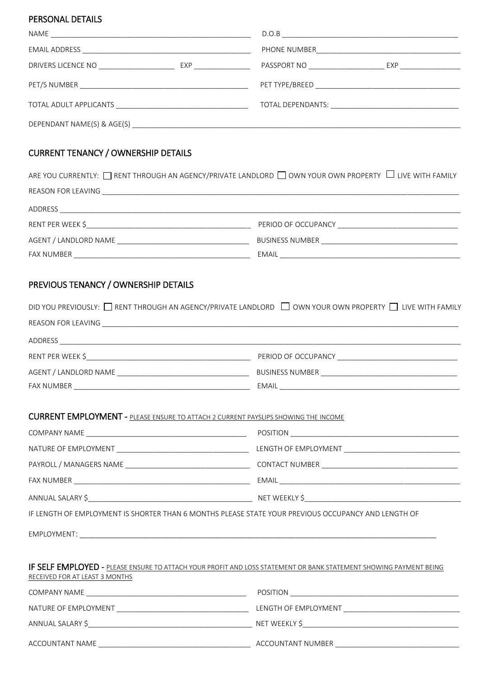## PERSONAL DETAILS

| NAME<br><u> 1980 - John Stone, Amerikaansk politiker (* 1918)</u> |  | D.O.B                              |                       |  |
|-------------------------------------------------------------------|--|------------------------------------|-----------------------|--|
|                                                                   |  |                                    |                       |  |
| DRIVERS LICENCE NO ______________________                         |  | PASSPORT NO ______________________ | $EXP$ _______________ |  |
|                                                                   |  |                                    |                       |  |
|                                                                   |  |                                    |                       |  |
|                                                                   |  |                                    |                       |  |

# CURRENT TENANCY / OWNERSHIP DETAILS

| ARE YOU CURRENTLY: $\Box$ RENT THROUGH AN AGENCY/PRIVATE LANDLORD $\Box$ OWN YOUR OWN PROPERTY $\Box$ LIVE WITH FAMILY |  |  |
|------------------------------------------------------------------------------------------------------------------------|--|--|
|                                                                                                                        |  |  |
|                                                                                                                        |  |  |
| PERIOD OF OCCUPANCY <u>__________________________</u>                                                                  |  |  |
|                                                                                                                        |  |  |
|                                                                                                                        |  |  |
|                                                                                                                        |  |  |

# PREVIOUS TENANCY / OWNERSHIP DETAILS

| DID YOU PREVIOUSLY: □ RENT THROUGH AN AGENCY/PRIVATE LANDLORD □ OWN YOUR OWN PROPERTY □ LIVE WITH FAMILY |  |
|----------------------------------------------------------------------------------------------------------|--|
|                                                                                                          |  |
|                                                                                                          |  |
|                                                                                                          |  |
|                                                                                                          |  |
|                                                                                                          |  |
|                                                                                                          |  |
| <b>CURRENT EMPLOYMENT - PLEASE ENSURE TO ATTACH 2 CURRENT PAYSLIPS SHOWING THE INCOME</b>                |  |
|                                                                                                          |  |
|                                                                                                          |  |
|                                                                                                          |  |
|                                                                                                          |  |

ANNUAL SALARY \$\_\_\_\_\_\_\_\_\_\_\_\_\_\_\_\_\_\_\_\_\_\_\_\_\_\_\_\_\_\_\_\_\_\_\_\_\_\_\_\_\_ NET WEEKLY \$\_\_\_\_\_\_\_\_\_\_\_\_\_\_\_\_\_\_\_\_\_\_\_\_\_\_\_\_\_\_\_\_\_\_\_\_\_\_\_

IF LENGTH OF EMPLOYMENT IS SHORTER THAN 6 MONTHS PLEASE STATE YOUR PREVIOUS OCCUPANCY AND LENGTH OF

EMPLOYMENT: \_\_\_\_\_\_\_\_\_\_\_\_\_\_\_\_\_\_\_\_\_\_\_\_\_\_\_\_\_\_\_\_\_\_\_\_\_\_\_\_\_\_\_\_\_\_\_\_\_\_\_\_\_\_\_\_\_\_\_\_\_\_\_\_\_\_\_\_\_\_\_\_\_\_\_\_\_\_\_\_\_

| IF SELF EMPLOYED - PLEASE ENSURE TO ATTACH YOUR PROFIT AND LOSS STATEMENT OR BANK STATEMENT SHOWING PAYMENT BEING                                                                                                              |                          |  |
|--------------------------------------------------------------------------------------------------------------------------------------------------------------------------------------------------------------------------------|--------------------------|--|
| RECEIVED FOR AT LEAST 3 MONTHS                                                                                                                                                                                                 |                          |  |
|                                                                                                                                                                                                                                | POSITION <b>POSITION</b> |  |
| NATURE OF EMPLOYMENT TO THE RESERVE THE RESERVE THAT A RESERVE THE RESERVE THAT A RESERVE THAT A RESERVE THAT A RESERVE THAT A RESERVE THAT A RESERVE THAT A RESERVE THAT A RESERVE THAT A RESERVE THAT A RESERVE THAT A RESER |                          |  |
| $ANNUAL SALARY$ \$                                                                                                                                                                                                             |                          |  |
| ACCOUNTANT NAME                                                                                                                                                                                                                | ACCOUNTANT NUMBER        |  |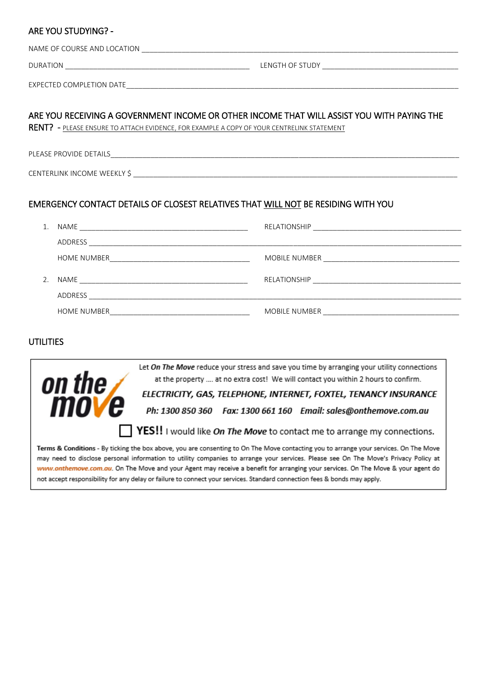## ARE YOU STUDYING? -

| NAME OF COURSE AND LOCATION<br><u> 2000 - 2000 - 2000 - 2000 - 2000 - 2000 - 2000 - 2000 - 2000 - 2000 - 2000 - 2000 - 2000 - 2000 - 2000 - 200</u> |                                                                                                                |  |
|-----------------------------------------------------------------------------------------------------------------------------------------------------|----------------------------------------------------------------------------------------------------------------|--|
| DURATION<br><u> 1989 - John Stein, Amerikaansk politiker (* 1908)</u>                                                                               | LENGTH OF STUDY The Contract of the Contract of the Contract of the Contract of the Contract of the Contract o |  |
| EXPECTED COMPLETION DATE <b>And Construct Company of the Company of Company Company of Company Company</b>                                          |                                                                                                                |  |
| ARE YOU RECEIVING A GOVERNMENT INCOME OR OTHER INCOME THAT WILL ASSIST YOU WITH PAYING THE                                                          |                                                                                                                |  |

RENT? - PLEASE ENSURE TO ATTACH EVIDENCE, FOR EXAMPLE A COPY OF YOUR CENTRELINK STATEMENT

PLEASE PROVIDE DETAILS

CENTERLINK INCOME WEEKLY \$

# EMERGENCY CONTACT DETAILS OF CLOSEST RELATIVES THAT WILL NOT BE RESIDING WITH YOU

| 1.             |                    |                                                                                                                                                                                                                                |
|----------------|--------------------|--------------------------------------------------------------------------------------------------------------------------------------------------------------------------------------------------------------------------------|
|                | ADDRESS            |                                                                                                                                                                                                                                |
|                | HOME NUMBER        |                                                                                                                                                                                                                                |
| 2 <sub>1</sub> |                    |                                                                                                                                                                                                                                |
|                | ADDRESS            |                                                                                                                                                                                                                                |
|                | <b>HOME NUMBER</b> | MOBILE NUMBER NAMES AND THE STATE OF THE STATE OF THE STATE OF THE STATE OF THE STATE OF THE STATE OF THE STATE OF THE STATE OF THE STATE OF THE STATE OF THE STATE OF THE STATE OF THE STATE OF THE STATE OF THE STATE OF THE |

# UTILITIES



**YES!!** I would like On The Move to contact me to arrange my connections.

Terms & Conditions - By ticking the box above, you are consenting to On The Move contacting you to arrange your services. On The Move may need to disclose personal information to utility companies to arrange your services. Please see On The Move's Privacy Policy at www.onthemove.com.au. On The Move and your Agent may receive a benefit for arranging your services. On The Move & your agent do not accept responsibility for any delay or failure to connect your services. Standard connection fees & bonds may apply.